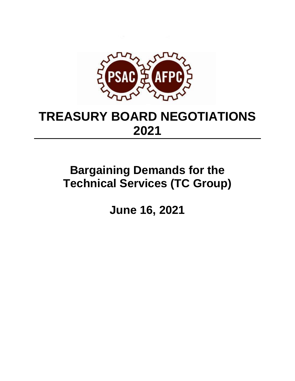

# **TREASURY BOARD NEGOTIATIONS 2021**

# **Bargaining Demands for the Technical Services (TC Group)**

**June 16, 2021**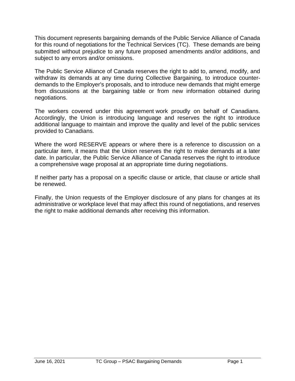This document represents bargaining demands of the Public Service Alliance of Canada for this round of negotiations for the Technical Services (TC). These demands are being submitted without prejudice to any future proposed amendments and/or additions, and subject to any errors and/or omissions.

The Public Service Alliance of Canada reserves the right to add to, amend, modify, and withdraw its demands at any time during Collective Bargaining, to introduce counterdemands to the Employer's proposals, and to introduce new demands that might emerge from discussions at the bargaining table or from new information obtained during negotiations.

The workers covered under this agreement work proudly on behalf of Canadians. Accordingly, the Union is introducing language and reserves the right to introduce additional language to maintain and improve the quality and level of the public services provided to Canadians.

Where the word RESERVE appears or where there is a reference to discussion on a particular item, it means that the Union reserves the right to make demands at a later date. In particular, the Public Service Alliance of Canada reserves the right to introduce a comprehensive wage proposal at an appropriate time during negotiations.

If neither party has a proposal on a specific clause or article, that clause or article shall be renewed.

Finally, the Union requests of the Employer disclosure of any plans for changes at its administrative or workplace level that may affect this round of negotiations, and reserves the right to make additional demands after receiving this information.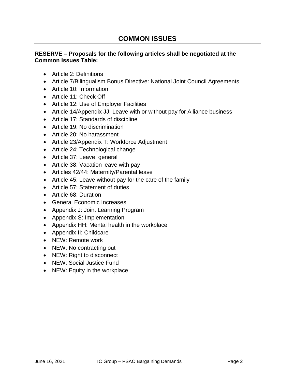## **RESERVE – Proposals for the following articles shall be negotiated at the Common Issues Table:**

- Article 2: Definitions
- Article 7/Bilingualism Bonus Directive: National Joint Council Agreements
- Article 10: Information
- Article 11: Check Off
- Article 12: Use of Employer Facilities
- Article 14/Appendix JJ: Leave with or without pay for Alliance business
- Article 17: Standards of discipline
- Article 19: No discrimination
- Article 20: No harassment
- Article 23/Appendix T: Workforce Adjustment
- Article 24: Technological change
- Article 37: Leave, general
- Article 38: Vacation leave with pay
- Articles 42/44: Maternity/Parental leave
- Article 45: Leave without pay for the care of the family
- Article 57: Statement of duties
- Article 68: Duration
- General Economic Increases
- Appendix J: Joint Learning Program
- Appendix S: Implementation
- Appendix HH: Mental health in the workplace
- Appendix II: Childcare
- NEW: Remote work
- NEW: No contracting out
- NEW: Right to disconnect
- NEW: Social Justice Fund
- NEW: Equity in the workplace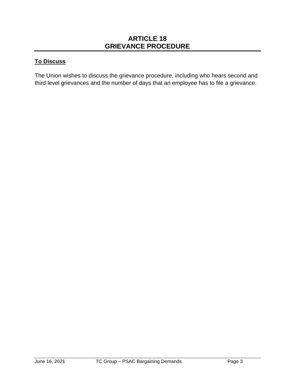## **ARTICLE 18 GRIEVANCE PROCEDURE**

## **To Discuss**

The Union wishes to discuss the grievance procedure, including who hears second and third level grievances and the number of days that an employee has to file a grievance.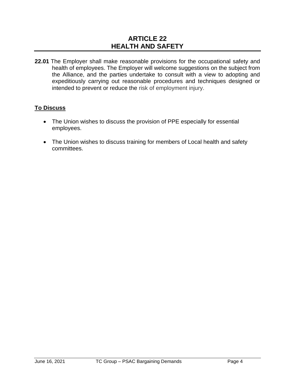# **ARTICLE 22 HEALTH AND SAFETY**

**22.01** The Employer shall make reasonable provisions for the occupational safety and health of employees. The Employer will welcome suggestions on the subject from the Alliance, and the parties undertake to consult with a view to adopting and expeditiously carrying out reasonable procedures and techniques designed or intended to prevent or reduce the risk of employment injury.

## **To Discuss**

- The Union wishes to discuss the provision of PPE especially for essential employees.
- The Union wishes to discuss training for members of Local health and safety committees.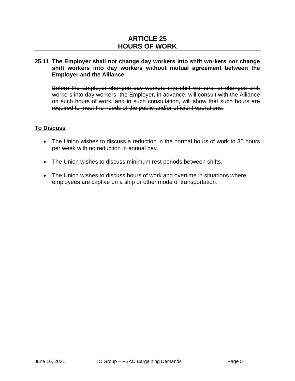# **ARTICLE 25 HOURS OF WORK**

#### **25.11 The Employer shall not change day workers into shift workers nor change shift workers into day workers without mutual agreement between the Employer and the Alliance.**

Before the Employer changes day workers into shift workers, or changes shift workers into day workers, the Employer, in advance, will consult with the Alliance on such hours of work, and in such consultation, will show that such hours are required to meet the needs of the public and/or efficient operations.

### **To Discuss**

- The Union wishes to discuss a reduction in the normal hours of work to 35 hours per week with no reduction in annual pay.
- The Union wishes to discuss minimum rest periods between shifts.
- The Union wishes to discuss hours of work and overtime in situations where employees are captive on a ship or other mode of transportation.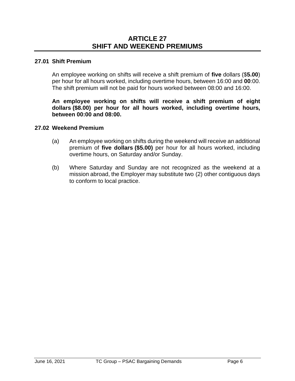## **ARTICLE 27 SHIFT AND WEEKEND PREMIUMS**

#### **27.01 Shift Premium**

An employee working on shifts will receive a shift premium of **five** dollars (\$**5.00**) per hour for all hours worked, including overtime hours, between 16:00 and **00**:00. The shift premium will not be paid for hours worked between 08:00 and 16:00.

**An employee working on shifts will receive a shift premium of eight dollars (\$8.00) per hour for all hours worked, including overtime hours, between 00:00 and 08:00.** 

#### **27.02 Weekend Premium**

- (a) An employee working on shifts during the weekend will receive an additional premium of **five dollars (\$5.00)** per hour for all hours worked, including overtime hours, on Saturday and/or Sunday.
- (b) Where Saturday and Sunday are not recognized as the weekend at a mission abroad, the Employer may substitute two (2) other contiguous days to conform to local practice.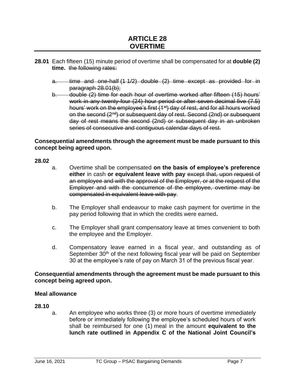# **ARTICLE 28 OVERTIME**

- **28.01** Each fifteen (15) minute period of overtime shall be compensated for at **double (2) time.** the following rates:
	- a. time and one-half (1 1/2) double (2) time except as provided for in paragraph 28.01(b);
	- b. double (2) time for each hour of overtime worked after fifteen (15) hours' work in any twenty-four (24) hour period or after seven decimal five (7.5) hours' work on the employee's first (1<sup>st</sup>) day of rest, and for all hours worked on the second (2<sup>nd</sup>) or subsequent day of rest. Second (2nd) or subsequent day of rest means the second (2nd) or subsequent day in an unbroken series of consecutive and contiguous calendar days of rest.

#### **Consequential amendments through the agreement must be made pursuant to this concept being agreed upon.**

#### **28.02**

- a. Overtime shall be compensated **on the basis of employee's preference either** in cash **or equivalent leave with pay** except that, upon request of an employee and with the approval of the Employer, or at the request of the Employer and with the concurrence of the employee, overtime may be compensated in equivalent leave with pay.
- b. The Employer shall endeavour to make cash payment for overtime in the pay period following that in which the credits were earned**.**
- c. The Employer shall grant compensatory leave at times convenient to both the employee and the Employer.
- d. Compensatory leave earned in a fiscal year, and outstanding as of September  $30<sup>th</sup>$  of the next following fiscal year will be paid on September 30 at the employee's rate of pay on March 31 of the previous fiscal year.

#### **Consequential amendments through the agreement must be made pursuant to this concept being agreed upon.**

#### **Meal allowance**

#### **28.10**

a. An employee who works three (3) or more hours of overtime immediately before or immediately following the employee's scheduled hours of work shall be reimbursed for one (1) meal in the amount **equivalent to the lunch rate outlined in Appendix C of the National Joint Council's**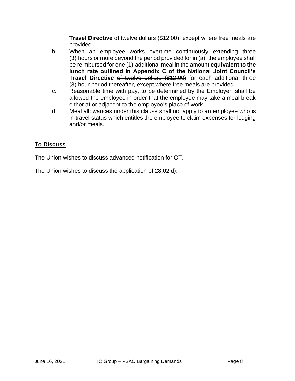**Travel Directive** of twelve dollars (\$12.00), except where free meals are provided.

- b. When an employee works overtime continuously extending three (3) hours or more beyond the period provided for in (a), the employee shall be reimbursed for one (1) additional meal in the amount **equivalent to the lunch rate outlined in Appendix C of the National Joint Council's Travel Directive** of twelve dollars (\$12.00) for each additional three (3) hour period thereafter, except where free meals are provided
- c. Reasonable time with pay, to be determined by the Employer, shall be allowed the employee in order that the employee may take a meal break either at or adjacent to the employee's place of work.
- d. Meal allowances under this clause shall not apply to an employee who is in travel status which entitles the employee to claim expenses for lodging and/or meals.

## **To Discuss**

The Union wishes to discuss advanced notification for OT.

The Union wishes to discuss the application of 28.02 d).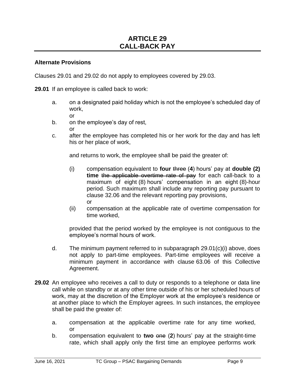## **ARTICLE 29 CALL-BACK PAY**

#### **Alternate Provisions**

Clauses 29.01 and 29.02 do not apply to employees covered by 29.03.

**29.01** If an employee is called back to work:

- a. on a designated paid holiday which is not the employee's scheduled day of work,
	- or
- b. on the employee's day of rest, or
- c. after the employee has completed his or her work for the day and has left his or her place of work,

and returns to work, the employee shall be paid the greater of:

- (i) compensation equivalent to **four** three (**4**) hours' pay at **double (2) time** the applicable overtime rate of pay for each call-back to a maximum of eight (8) hours' compensation in an eight (8)-hour period. Such maximum shall include any reporting pay pursuant to clause 32.06 and the relevant reporting pay provisions, or
- (ii) compensation at the applicable rate of overtime compensation for time worked,

provided that the period worked by the employee is not contiguous to the employee's normal hours of work.

- d. The minimum payment referred to in subparagraph 29.01(c)(i) above, does not apply to part-time employees. Part-time employees will receive a minimum payment in accordance with clause 63.06 of this Collective Agreement.
- **29.02** An employee who receives a call to duty or responds to a telephone or data line call while on standby or at any other time outside of his or her scheduled hours of work, may at the discretion of the Employer work at the employee's residence or at another place to which the Employer agrees. In such instances, the employee shall be paid the greater of:
	- a. compensation at the applicable overtime rate for any time worked, or
	- b. compensation equivalent to **two** one (**2**) hours' pay at the straight-time rate, which shall apply only the first time an employee performs work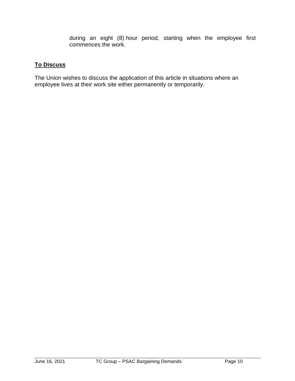during an eight (8) hour period, starting when the employee first commences the work.

## **To Discuss**

The Union wishes to discuss the application of this article in situations where an employee lives at their work site either permanently or temporarily.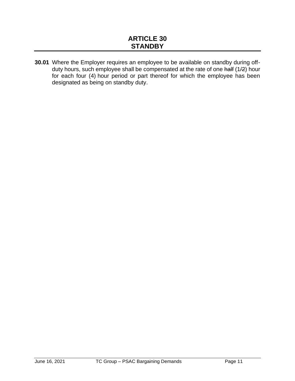**30.01** Where the Employer requires an employee to be available on standby during offduty hours, such employee shall be compensated at the rate of one half (1/2) hour for each four (4) hour period or part thereof for which the employee has been designated as being on standby duty.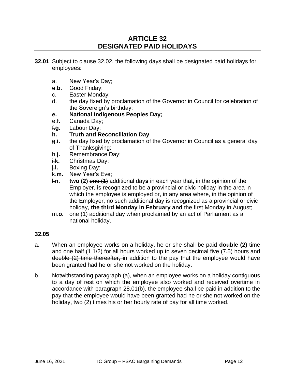## **ARTICLE 32 DESIGNATED PAID HOLIDAYS**

- **32.01** Subject to clause 32.02, the following days shall be designated paid holidays for employees:
	- a. New Year's Day;
	- e.**b.** Good Friday;
	- c. Easter Monday;
	- d. the day fixed by proclamation of the Governor in Council for celebration of the Sovereign's birthday;
	- **e. National Indigenous Peoples Day;**
	- e.**f.** Canada Day;
	- f.**g.** Labour Day;
	- **h. Truth and Reconciliation Day**
	- g.**i.** the day fixed by proclamation of the Governor in Council as a general day of Thanksgiving;
	- h.**j.** Remembrance Day;
	- i.**k.** Christmas Day;
	- j.**l.** Boxing Day;
	- k.**m.** New Year's Eve;
	- l.**n. two (2)** one (1) additional day**s** in each year that, in the opinion of the Employer, is recognized to be a provincial or civic holiday in the area in which the employee is employed or, in any area where, in the opinion of the Employer, no such additional day is recognized as a provincial or civic holiday, **the third Monday in February and** the first Monday in August;
	- m.**o.** one (1) additional day when proclaimed by an act of Parliament as a national holiday.

#### **32.05**

- a. When an employee works on a holiday, he or she shall be paid **double (2)** time and one half (1 1/2) for all hours worked up to seven decimal five (7.5) hours and double (2) time thereafter, in addition to the pay that the employee would have been granted had he or she not worked on the holiday.
- b. Notwithstanding paragraph (a), when an employee works on a holiday contiguous to a day of rest on which the employee also worked and received overtime in accordance with paragraph 28.01(b), the employee shall be paid in addition to the pay that the employee would have been granted had he or she not worked on the holiday, two (2) times his or her hourly rate of pay for all time worked.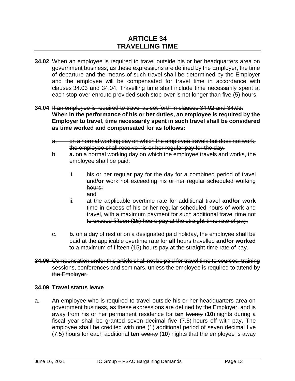# **ARTICLE 34 TRAVELLING TIME**

- **34.02** When an employee is required to travel outside his or her headquarters area on government business, as these expressions are defined by the Employer, the time of departure and the means of such travel shall be determined by the Employer and the employee will be compensated for travel time in accordance with clauses 34.03 and 34.04. Travelling time shall include time necessarily spent at each stop-over enroute provided such stop-over is not longer than five (5) hours.
- **34.04** If an employee is required to travel as set forth in clauses 34.02 and 34.03: **When in the performance of his or her duties, an employee is required by the Employer to travel, time necessarily spent in such travel shall be considered as time worked and compensated for as follows:**
	- a. on a normal working day on which the employee travels but does not work, the employee shall receive his or her regular pay for the day.
	- b. **a.** on a normal working day on which the employee travels and works, the employee shall be paid:
		- i. his or her regular pay for the day for a combined period of travel and**/or** work not exceeding his or her regular scheduled working hours; and
		- ii. at the applicable overtime rate for additional travel **and/or work**  time in excess of his or her regular scheduled hours of work and travel, with a maximum payment for such additional travel time not to exceed fifteen (15) hours pay at the straight-time rate of pay;
	- c. **b.** on a day of rest or on a designated paid holiday, the employee shall be paid at the applicable overtime rate for **all** hours travelled **and/or worked** to a maximum of fifteen (15) hours pay at the straight-time rate of pay.
- **34.06** Compensation under this article shall not be paid for travel time to courses, training sessions, conferences and seminars, unless the employee is required to attend by the Employer.

#### **34.09 Travel status leave**

a. An employee who is required to travel outside his or her headquarters area on government business, as these expressions are defined by the Employer, and is away from his or her permanent residence for **ten** twenty (**10**) nights during a fiscal year shall be granted seven decimal five (7.5) hours off with pay. The employee shall be credited with one (1) additional period of seven decimal five (7.5) hours for each additional **ten** twenty (**10**) nights that the employee is away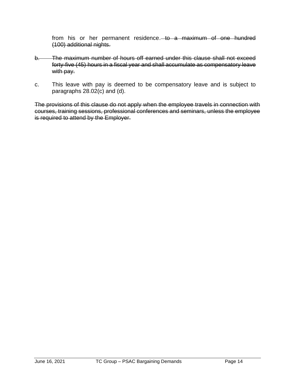from his or her permanent residence. to a maximum of one hundred (100) additional nights.

- b. The maximum number of hours off earned under this clause shall not exceed forty-five (45) hours in a fiscal year and shall accumulate as compensatory leave with pay.
- c. This leave with pay is deemed to be compensatory leave and is subject to paragraphs 28.02(c) and (d).

The provisions of this clause do not apply when the employee travels in connection with courses, training sessions, professional conferences and seminars, unless the employee is required to attend by the Employer.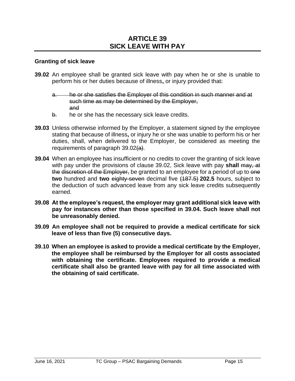#### **Granting of sick leave**

- **39.02** An employee shall be granted sick leave with pay when he or she is unable to perform his or her duties because of illness**,** or injury provided that:
	- a. he or she satisfies the Employer of this condition in such manner and at such time as may be determined by the Employer. and
	- $b.$  he or she has the necessary sick leave credits.
- **39.03** Unless otherwise informed by the Employer, a statement signed by the employee stating that because of illness**,** or injury he or she was unable to perform his or her duties, shall, when delivered to the Employer, be considered as meeting the requirements of paragraph  $39.02(a)$ .
- **39.04** When an employee has insufficient or no credits to cover the granting of sick leave with pay under the provisions of clause 39.02, Sick leave with pay **shall** may, at the discretion of the Employer, be granted to an employee for a period of up to one **two** hundred and **two** eighty-seven decimal five (187.5) **202.5** hours, subject to the deduction of such advanced leave from any sick leave credits subsequently earned.
- **39.08 At the employee's request, the employer may grant additional sick leave with pay for instances other than those specified in 39.04. Such leave shall not be unreasonably denied.**
- **39.09 An employee shall not be required to provide a medical certificate for sick leave of less than five (5) consecutive days.**
- **39.10 When an employee is asked to provide a medical certificate by the Employer, the employee shall be reimbursed by the Employer for all costs associated with obtaining the certificate. Employees required to provide a medical certificate shall also be granted leave with pay for all time associated with the obtaining of said certificate.**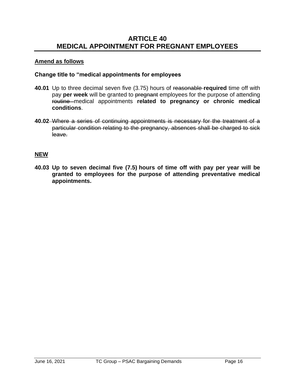## **ARTICLE 40 MEDICAL APPOINTMENT FOR PREGNANT EMPLOYEES**

### **Amend as follows**

#### **Change title to "medical appointments for employees**

- **40.01** Up to three decimal seven five (3.75) hours of reasonable **required** time off with pay **per week** will be granted to pregnant employees for the purpose of attending routine medical appointments **related to pregnancy or chronic medical conditions**.
- **40.02** Where a series of continuing appointments is necessary for the treatment of a particular condition relating to the pregnancy, absences shall be charged to sick leave.

### **NEW**

**40.03 Up to seven decimal five (7.5) hours of time off with pay per year will be granted to employees for the purpose of attending preventative medical appointments.**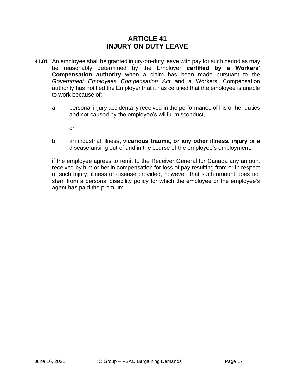## **ARTICLE 41 INJURY ON DUTY LEAVE**

- **41.01** An employee shall be granted injury-on-duty leave with pay for such period as may be reasonably determined by the Employer **certified by a Workers' Compensation authority** when a claim has been made pursuant to the *Government Employees Compensation Act* and a Workers' Compensation authority has notified the Employer that it has certified that the employee is unable to work because of:
	- a. personal injury accidentally received in the performance of his or her duties and not caused by the employee's willful misconduct,

or

b. an industrial illness**, vicarious trauma, or any other illness, injury** or a disease arising out of and in the course of the employee's employment,

if the employee agrees to remit to the Receiver General for Canada any amount received by him or her in compensation for loss of pay resulting from or in respect of such injury, illness or disease provided, however, that such amount does not stem from a personal disability policy for which the employee or the employee's agent has paid the premium.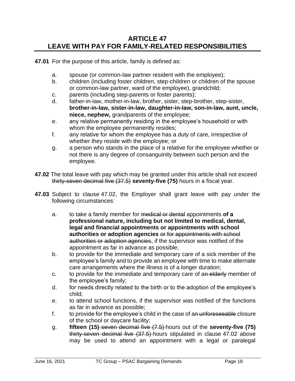## **ARTICLE 47 LEAVE WITH PAY FOR FAMILY-RELATED RESPONSIBILITIES**

**47.01** For the purpose of this article, family is defined as:

- a. spouse (or common-law partner resident with the employee);
- b. children (including foster children, step-children or children of the spouse or common-law partner, ward of the employee), grandchild;
- c. parents (including step-parents or foster parents);
- d. father-in-law, mother-in-law, brother, sister, step-brother, step-sister, **brother-in-law, sister-in-law, daughter-in-law, son-in-law, aunt, uncle, niece, nephew,** grandparents of the employee;
- e. any relative permanently residing in the employee's household or with whom the employee permanently resides;
- f. any relative for whom the employee has a duty of care, irrespective of whether they reside with the employee; or
- g. a person who stands in the place of a relative for the employee whether or not there is any degree of consanguinity between such person and the employee.
- **47.02** The total leave with pay which may be granted under this article shall not exceed thirty-seven decimal five (37.5) **seventy-five (75)** hours in a fiscal year.
- **47.03** Subject to clause 47.02, the Employer shall grant leave with pay under the following circumstances:
	- a. to take a family member for medical or dental appointments **of a professional nature, including but not limited to medical, dental, legal and financial appointments or appointments with school authorities or adoption agencies** or for appointments with school authorities or adoption agencies, if the supervisor was notified of the appointment as far in advance as possible;
	- b. to provide for the immediate and temporary care of a sick member of the employee's family and to provide an employee with time to make alternate care arrangements where the illness is of a longer duration;
	- c. to provide for the immediate and temporary care of an elderly member of the employee's family;
	- d. for needs directly related to the birth or to the adoption of the employee's child;
	- e. to attend school functions, if the supervisor was notified of the functions as far in advance as possible;
	- f. to provide for the employee's child in the case of an unforeseeable closure of the school or daycare facility;
	- g. **fifteen (15)** seven decimal five (7.5) hours out of the **seventy-five (75)** thirty-seven decimal five (37.5) hours stipulated in clause 47.02 above may be used to attend an appointment with a legal or paralegal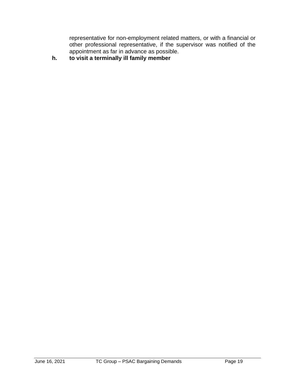representative for non-employment related matters, or with a financial or other professional representative, if the supervisor was notified of the appointment as far in advance as possible.

**h. to visit a terminally ill family member**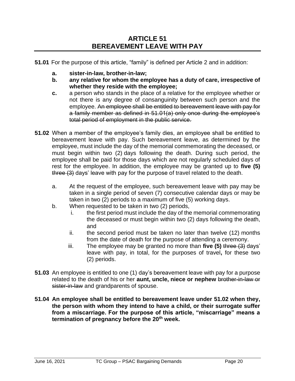**51.01** For the purpose of this article, "family" is defined per Article 2 and in addition:

- **a. sister-in-law, brother-in-law;**
- **b. any relative for whom the employee has a duty of care, irrespective of whether they reside with the employee;**
- **c.** a person who stands in the place of a relative for the employee whether or not there is any degree of consanguinity between such person and the employee. An employee shall be entitled to bereavement leave with pay for a family member as defined in 51.01(a) only once during the employee's total period of employment in the public service.
- **51.02** When a member of the employee's family dies, an employee shall be entitled to bereavement leave with pay. Such bereavement leave, as determined by the employee, must include the day of the memorial commemorating the deceased, or must begin within two (2) days following the death. During such period, the employee shall be paid for those days which are not regularly scheduled days of rest for the employee. In addition, the employee may be granted up to **five (5)** three (3) days' leave with pay for the purpose of travel related to the death.
	- a. At the request of the employee, such bereavement leave with pay may be taken in a single period of seven (7) consecutive calendar days or may be taken in two (2) periods to a maximum of five (5) working days.
	- b. When requested to be taken in two (2) periods,
		- i. the first period must include the day of the memorial commemorating the deceased or must begin within two (2) days following the death, and
		- ii. the second period must be taken no later than twelve (12) months from the date of death for the purpose of attending a ceremony.
		- iii. The employee may be granted no more than **five (5)** three (3) days' leave with pay, in total, for the purposes of travel**,** for these two (2) periods.
- **51.03** An employee is entitled to one (1) day's bereavement leave with pay for a purpose related to the death of his or her **aunt, uncle, niece or nephew** brother-in-law or sister-in-law and grandparents of spouse.
- **51.04 An employee shall be entitled to bereavement leave under 51.02 when they, the person with whom they intend to have a child, or their surrogate suffer from a miscarriage. For the purpose of this article, "miscarriage" means a termination of pregnancy before the 20th week.**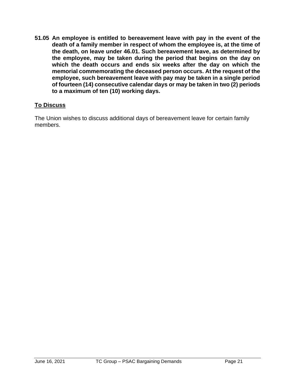**51.05 An employee is entitled to bereavement leave with pay in the event of the death of a family member in respect of whom the employee is, at the time of the death, on leave under 46.01. Such bereavement leave, as determined by the employee, may be taken during the period that begins on the day on which the death occurs and ends six weeks after the day on which the memorial commemorating the deceased person occurs. At the request of the employee, such bereavement leave with pay may be taken in a single period of fourteen (14) consecutive calendar days or may be taken in two (2) periods to a maximum of ten (10) working days.**

## **To Discuss**

The Union wishes to discuss additional days of bereavement leave for certain family members.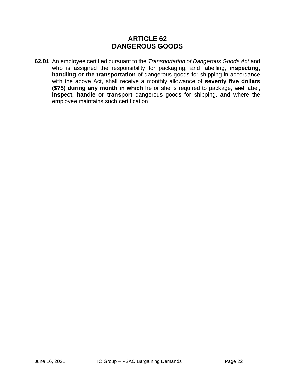**62.01** An employee certified pursuant to the *Transportation of Dangerous Goods Act* and who is assigned the responsibility for packaging, and labelling, **inspecting, handling or the transportation** of dangerous goods for shipping in accordance with the above Act, shall receive a monthly allowance of **seventy five dollars (\$75) during any month in which** he or she is required to package**,** and label**, inspect, handle or transport** dangerous goods for shipping, **and** where the employee maintains such certification.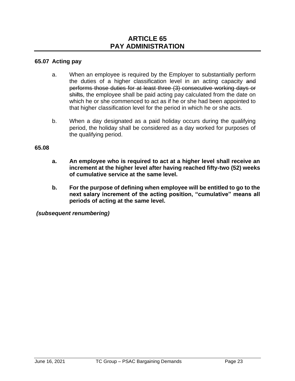#### **65.07 Acting pay**

- a. When an employee is required by the Employer to substantially perform the duties of a higher classification level in an acting capacity and performs those duties for at least three (3) consecutive working days or shifts, the employee shall be paid acting pay calculated from the date on which he or she commenced to act as if he or she had been appointed to that higher classification level for the period in which he or she acts.
- b. When a day designated as a paid holiday occurs during the qualifying period, the holiday shall be considered as a day worked for purposes of the qualifying period.

#### **65.08**

- **a. An employee who is required to act at a higher level shall receive an increment at the higher level after having reached fifty-two (52) weeks of cumulative service at the same level.**
- **b. For the purpose of defining when employee will be entitled to go to the next salary increment of the acting position, "cumulative" means all periods of acting at the same level.**

*(subsequent renumbering)*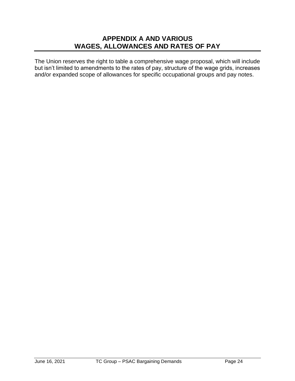# **APPENDIX A AND VARIOUS WAGES, ALLOWANCES AND RATES OF PAY**

The Union reserves the right to table a comprehensive wage proposal, which will include but isn't limited to amendments to the rates of pay, structure of the wage grids, increases and/or expanded scope of allowances for specific occupational groups and pay notes.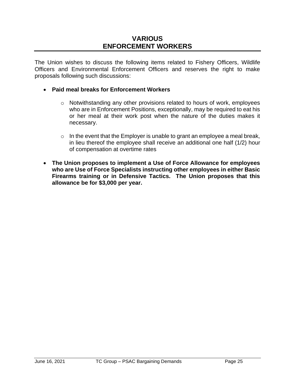# **VARIOUS ENFORCEMENT WORKERS**

The Union wishes to discuss the following items related to Fishery Officers, Wildlife Officers and Environmental Enforcement Officers and reserves the right to make proposals following such discussions:

#### • **Paid meal breaks for Enforcement Workers**

- o Notwithstanding any other provisions related to hours of work, employees who are in Enforcement Positions, exceptionally, may be required to eat his or her meal at their work post when the nature of the duties makes it necessary.
- $\circ$  In the event that the Employer is unable to grant an employee a meal break, in lieu thereof the employee shall receive an additional one half (1/2) hour of compensation at overtime rates
- **The Union proposes to implement a Use of Force Allowance for employees who are Use of Force Specialists instructing other employees in either Basic Firearms training or in Defensive Tactics. The Union proposes that this allowance be for \$3,000 per year.**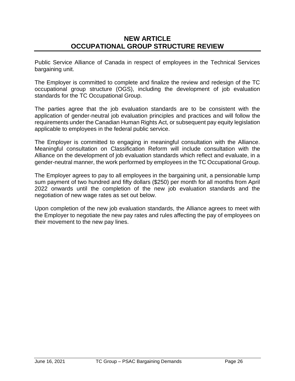# **NEW ARTICLE OCCUPATIONAL GROUP STRUCTURE REVIEW**

Public Service Alliance of Canada in respect of employees in the Technical Services bargaining unit.

The Employer is committed to complete and finalize the review and redesign of the TC occupational group structure (OGS), including the development of job evaluation standards for the TC Occupational Group.

The parties agree that the job evaluation standards are to be consistent with the application of gender-neutral job evaluation principles and practices and will follow the requirements under the Canadian Human Rights Act, or subsequent pay equity legislation applicable to employees in the federal public service.

The Employer is committed to engaging in meaningful consultation with the Alliance. Meaningful consultation on Classification Reform will include consultation with the Alliance on the development of job evaluation standards which reflect and evaluate, in a gender-neutral manner, the work performed by employees in the TC Occupational Group.

The Employer agrees to pay to all employees in the bargaining unit, a pensionable lump sum payment of two hundred and fifty dollars (\$250) per month for all months from April 2022 onwards until the completion of the new job evaluation standards and the negotiation of new wage rates as set out below.

Upon completion of the new job evaluation standards, the Alliance agrees to meet with the Employer to negotiate the new pay rates and rules affecting the pay of employees on their movement to the new pay lines.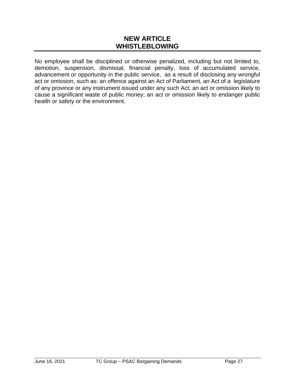## **NEW ARTICLE WHISTLEBLOWING**

No employee shall be disciplined or otherwise penalized, including but not limited to, demotion, suspension, dismissal, financial penalty, loss of accumulated service, advancement or opportunity in the public service, as a result of disclosing any wrongful act or omission, such as: an offence against an Act of Parliament, an Act of a legislature of any province or any instrument issued under any such Act; an act or omission likely to cause a significant waste of public money; an act or omission likely to endanger public health or safety or the environment.